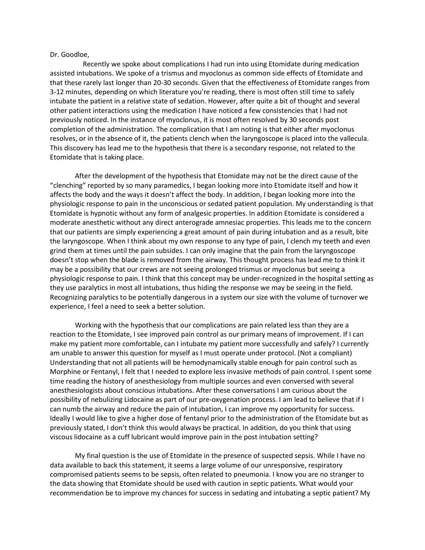## Dr. Goodloe,

 Recently we spoke about complications I had run into using Etomidate during medication assisted intubations. We spoke of a trismus and myoclonus as common side effects of Etomidate and that these rarely last longer than 20-30 seconds. Given that the effectiveness of Etomidate ranges from 3-12 minutes, depending on which literature you're reading, there is most often still time to safely intubate the patient in a relative state of sedation. However, after quite a bit of thought and several other patient interactions using the medication I have noticed a few consistencies that I had not previously noticed. In the instance of myoclonus, it is most often resolved by 30 seconds post completion of the administration. The complication that I am noting is that either after myoclonus resolves, or in the absence of it, the patients clench when the laryngoscope is placed into the vallecula. This discovery has lead me to the hypothesis that there is a secondary response, not related to the Etomidate that is taking place.

After the development of the hypothesis that Etomidate may not be the direct cause of the "clenching" reported by so many paramedics, I began looking more into Etomidate itself and how it affects the body and the ways it doesn't affect the body. In addition, I began looking more into the physiologic response to pain in the unconscious or sedated patient population. My understanding is that Etomidate is hypnotic without any form of analgesic properties. In addition Etomidate is considered a moderate anesthetic without any direct anterograde amnesiac properties. This leads me to the concern that our patients are simply experiencing a great amount of pain during intubation and as a result, bite the laryngoscope. When I think about my own response to any type of pain, I clench my teeth and even grind them at times until the pain subsides. I can only imagine that the pain from the laryngoscope doesn't stop when the blade is removed from the airway. This thought process has lead me to think it may be a possibility that our crews are not seeing prolonged trismus or myoclonus but seeing a physiologic response to pain. I think that this concept may be under-recognized in the hospital setting as they use paralytics in most all intubations, thus hiding the response we may be seeing in the field. Recognizing paralytics to be potentially dangerous in a system our size with the volume of turnover we experience, I feel a need to seek a better solution.

Working with the hypothesis that our complications are pain related less than they are a reaction to the Etomidate, I see improved pain control as our primary means of improvement. If I can make my patient more comfortable, can I intubate my patient more successfully and safely? I currently am unable to answer this question for myself as I must operate under protocol. (Not a compliant) Understanding that not all patients will be hemodynamically stable enough for pain control such as Morphine or Fentanyl, I felt that I needed to explore less invasive methods of pain control. I spent some time reading the history of anesthesiology from multiple sources and even conversed with several anesthesiologists about conscious intubations. After these conversations I am curious about the possibility of nebulizing Lidocaine as part of our pre-oxygenation process. I am lead to believe that if I can numb the airway and reduce the pain of intubation, I can improve my opportunity for success. Ideally I would like to give a higher dose of fentanyl prior to the administration of the Etomidate but as previously stated, I don't think this would always be practical. In addition, do you think that using viscous lidocaine as a cuff lubricant would improve pain in the post intubation setting?

My final question is the use of Etomidate in the presence of suspected sepsis. While I have no data available to back this statement, it seems a large volume of our unresponsive, respiratory compromised patients seems to be sepsis, often related to pneumonia. I know you are no stranger to the data showing that Etomidate should be used with caution in septic patients. What would your recommendation be to improve my chances for success in sedating and intubating a septic patient? My